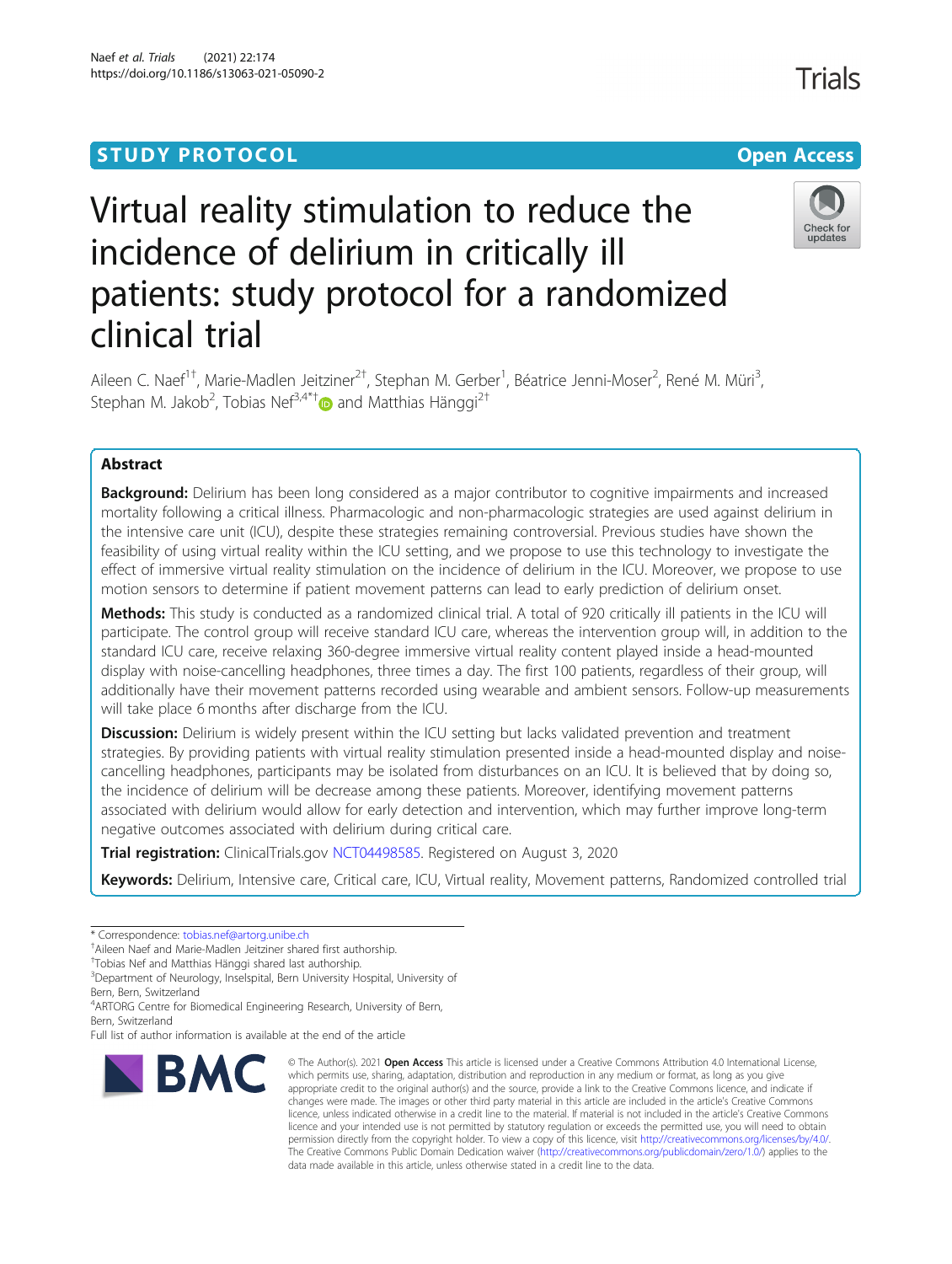# Naef et al. Trials (2021) 22:174 https://doi.org/10.1186/s13063-021-05090-2

# Virtual reality stimulation to reduce the incidence of delirium in critically ill patients: study protocol for a randomized clinical trial

Aileen C. Naef<sup>1†</sup>, Marie-Madlen Jeitziner<sup>2†</sup>, Stephan M. Gerber<sup>1</sup>, Béatrice Jenni-Moser<sup>2</sup>, René M. Müri<sup>3</sup> , Stephan M. Jakob<sup>2</sup>, Tobias Nef<sup>3,4\*[†](http://orcid.org/0000-0002-8069-9450)</sup> $\bullet$  and Matthias Hänggi<sup>2†</sup>

# Abstract

**Background:** Delirium has been long considered as a major contributor to cognitive impairments and increased mortality following a critical illness. Pharmacologic and non-pharmacologic strategies are used against delirium in the intensive care unit (ICU), despite these strategies remaining controversial. Previous studies have shown the feasibility of using virtual reality within the ICU setting, and we propose to use this technology to investigate the effect of immersive virtual reality stimulation on the incidence of delirium in the ICU. Moreover, we propose to use motion sensors to determine if patient movement patterns can lead to early prediction of delirium onset.

Methods: This study is conducted as a randomized clinical trial. A total of 920 critically ill patients in the ICU will participate. The control group will receive standard ICU care, whereas the intervention group will, in addition to the standard ICU care, receive relaxing 360-degree immersive virtual reality content played inside a head-mounted display with noise-cancelling headphones, three times a day. The first 100 patients, regardless of their group, will additionally have their movement patterns recorded using wearable and ambient sensors. Follow-up measurements will take place 6 months after discharge from the ICU.

**Discussion:** Delirium is widely present within the ICU setting but lacks validated prevention and treatment strategies. By providing patients with virtual reality stimulation presented inside a head-mounted display and noisecancelling headphones, participants may be isolated from disturbances on an ICU. It is believed that by doing so, the incidence of delirium will be decrease among these patients. Moreover, identifying movement patterns associated with delirium would allow for early detection and intervention, which may further improve long-term negative outcomes associated with delirium during critical care.

Trial registration: ClinicalTrials.gov [NCT04498585](https://clinicaltrials.gov/show/NCT04498585). Registered on August 3, 2020

Keywords: Delirium, Intensive care, Critical care, ICU, Virtual reality, Movement patterns, Randomized controlled trial

Full list of author information is available at the end of the article



<sup>©</sup> The Author(s), 2021 **Open Access** This article is licensed under a Creative Commons Attribution 4.0 International License, which permits use, sharing, adaptation, distribution and reproduction in any medium or format, as long as you give appropriate credit to the original author(s) and the source, provide a link to the Creative Commons licence, and indicate if changes were made. The images or other third party material in this article are included in the article's Creative Commons licence, unless indicated otherwise in a credit line to the material. If material is not included in the article's Creative Commons licence and your intended use is not permitted by statutory regulation or exceeds the permitted use, you will need to obtain permission directly from the copyright holder. To view a copy of this licence, visit [http://creativecommons.org/licenses/by/4.0/.](http://creativecommons.org/licenses/by/4.0/) The Creative Commons Public Domain Dedication waiver [\(http://creativecommons.org/publicdomain/zero/1.0/](http://creativecommons.org/publicdomain/zero/1.0/)) applies to the data made available in this article, unless otherwise stated in a credit line to the data.



<sup>\*</sup> Correspondence: [tobias.nef@artorg.unibe.ch](mailto:tobias.nef@artorg.unibe.ch) †

Aileen Naef and Marie-Madlen Jeitziner shared first authorship.

<sup>†</sup> Tobias Nef and Matthias Hänggi shared last authorship.

<sup>&</sup>lt;sup>3</sup>Department of Neurology, Inselspital, Bern University Hospital, University of Bern, Bern, Switzerland

<sup>&</sup>lt;sup>4</sup> ARTORG Centre for Biomedical Engineering Research, University of Bern,

Bern, Switzerland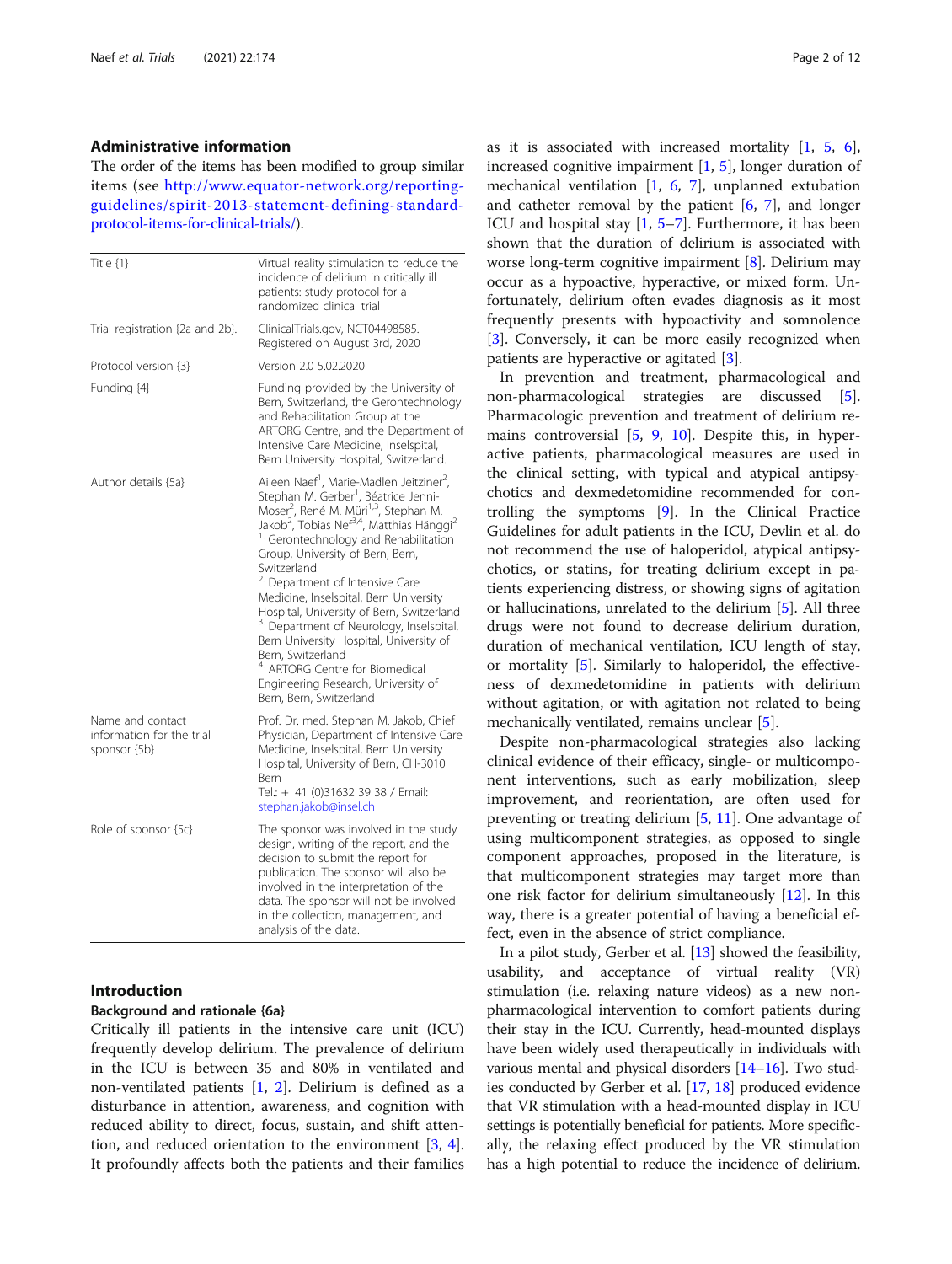#### Administrative information

The order of the items has been modified to group similar items (see [http://www.equator-network.org/reporting](http://www.equator-network.org/reporting-guidelines/spirit-2013-statement-defining-standard-protocol-items-for-clinical-trials/)[guidelines/spirit-2013-statement-defining-standard](http://www.equator-network.org/reporting-guidelines/spirit-2013-statement-defining-standard-protocol-items-for-clinical-trials/)[protocol-items-for-clinical-trials/](http://www.equator-network.org/reporting-guidelines/spirit-2013-statement-defining-standard-protocol-items-for-clinical-trials/)).

| Title $\{1\}$                                                 | Virtual reality stimulation to reduce the<br>incidence of delirium in critically ill<br>patients: study protocol for a<br>randomized clinical trial                                                                                                                                                                                                                                                                                                                                                                                                                                                                                                                                                                                                       |  |  |  |  |
|---------------------------------------------------------------|-----------------------------------------------------------------------------------------------------------------------------------------------------------------------------------------------------------------------------------------------------------------------------------------------------------------------------------------------------------------------------------------------------------------------------------------------------------------------------------------------------------------------------------------------------------------------------------------------------------------------------------------------------------------------------------------------------------------------------------------------------------|--|--|--|--|
| Trial registration {2a and 2b}.                               | ClinicalTrials.gov, NCT04498585.<br>Registered on August 3rd, 2020                                                                                                                                                                                                                                                                                                                                                                                                                                                                                                                                                                                                                                                                                        |  |  |  |  |
| Protocol version {3}                                          | Version 2.0 5.02.2020                                                                                                                                                                                                                                                                                                                                                                                                                                                                                                                                                                                                                                                                                                                                     |  |  |  |  |
| Funding {4}                                                   | Funding provided by the University of<br>Bern, Switzerland, the Gerontechnology<br>and Rehabilitation Group at the<br>ARTORG Centre, and the Department of<br>Intensive Care Medicine, Inselspital,<br>Bern University Hospital, Switzerland.                                                                                                                                                                                                                                                                                                                                                                                                                                                                                                             |  |  |  |  |
| Author details {5a}                                           | Aileen Naef <sup>1</sup> , Marie-Madlen Jeitziner <sup>2</sup> ,<br>Stephan M. Gerber <sup>1</sup> , Béatrice Jenni-<br>Moser <sup>2</sup> , René M. Müri <sup>1,3</sup> , Stephan M.<br>Jakob <sup>2</sup> , Tobias Nef <sup>3,4</sup> , Matthias Hänggi <sup>2</sup><br><sup>1.</sup> Gerontechnology and Rehabilitation<br>Group, University of Bern, Bern,<br>Switzerland<br><sup>2.</sup> Department of Intensive Care<br>Medicine, Inselspital, Bern University<br>Hospital, University of Bern, Switzerland<br><sup>3.</sup> Department of Neurology, Inselspital,<br>Bern University Hospital, University of<br>Bern, Switzerland<br><sup>4.</sup> ARTORG Centre for Biomedical<br>Engineering Research, University of<br>Bern, Bern, Switzerland |  |  |  |  |
| Name and contact<br>information for the trial<br>sponsor {5b} | Prof. Dr. med. Stephan M. Jakob, Chief<br>Physician, Department of Intensive Care<br>Medicine, Inselspital, Bern University<br>Hospital, University of Bern, CH-3010<br>Bern<br>Tel.: + 41 (0)31632 39 38 / Email:<br>stephan.jakob@insel.ch                                                                                                                                                                                                                                                                                                                                                                                                                                                                                                              |  |  |  |  |
| Role of sponsor {5c}                                          | The sponsor was involved in the study<br>design, writing of the report, and the<br>decision to submit the report for<br>publication. The sponsor will also be<br>involved in the interpretation of the<br>data. The sponsor will not be involved<br>in the collection, management, and<br>analysis of the data.                                                                                                                                                                                                                                                                                                                                                                                                                                           |  |  |  |  |

#### Introduction

#### Background and rationale {6a}

Critically ill patients in the intensive care unit (ICU) frequently develop delirium. The prevalence of delirium in the ICU is between 35 and 80% in ventilated and non-ventilated patients [\[1](#page-10-0), [2\]](#page-10-0). Delirium is defined as a disturbance in attention, awareness, and cognition with reduced ability to direct, focus, sustain, and shift attention, and reduced orientation to the environment [[3,](#page-10-0) [4](#page-10-0)]. It profoundly affects both the patients and their families as it is associated with increased mortality [[1,](#page-10-0) [5](#page-10-0), [6](#page-10-0)], increased cognitive impairment [\[1,](#page-10-0) [5](#page-10-0)], longer duration of mechanical ventilation [\[1](#page-10-0), [6](#page-10-0), [7](#page-10-0)], unplanned extubation and catheter removal by the patient  $[6, 7]$  $[6, 7]$  $[6, 7]$  $[6, 7]$  $[6, 7]$ , and longer ICU and hospital stay [\[1](#page-10-0), [5](#page-10-0)–[7](#page-10-0)]. Furthermore, it has been shown that the duration of delirium is associated with worse long-term cognitive impairment [[8\]](#page-10-0). Delirium may occur as a hypoactive, hyperactive, or mixed form. Unfortunately, delirium often evades diagnosis as it most frequently presents with hypoactivity and somnolence [[3\]](#page-10-0). Conversely, it can be more easily recognized when patients are hyperactive or agitated [\[3](#page-10-0)].

In prevention and treatment, pharmacological and non-pharmacological strategies are discussed [\[5](#page-10-0)]. Pharmacologic prevention and treatment of delirium remains controversial [[5](#page-10-0), [9,](#page-10-0) [10\]](#page-10-0). Despite this, in hyperactive patients, pharmacological measures are used in the clinical setting, with typical and atypical antipsychotics and dexmedetomidine recommended for controlling the symptoms [\[9](#page-10-0)]. In the Clinical Practice Guidelines for adult patients in the ICU, Devlin et al. do not recommend the use of haloperidol, atypical antipsychotics, or statins, for treating delirium except in patients experiencing distress, or showing signs of agitation or hallucinations, unrelated to the delirium [[5\]](#page-10-0). All three drugs were not found to decrease delirium duration, duration of mechanical ventilation, ICU length of stay, or mortality [\[5\]](#page-10-0). Similarly to haloperidol, the effectiveness of dexmedetomidine in patients with delirium without agitation, or with agitation not related to being mechanically ventilated, remains unclear [\[5](#page-10-0)].

Despite non-pharmacological strategies also lacking clinical evidence of their efficacy, single- or multicomponent interventions, such as early mobilization, sleep improvement, and reorientation, are often used for preventing or treating delirium [\[5](#page-10-0), [11](#page-10-0)]. One advantage of using multicomponent strategies, as opposed to single component approaches, proposed in the literature, is that multicomponent strategies may target more than one risk factor for delirium simultaneously [\[12\]](#page-10-0). In this way, there is a greater potential of having a beneficial effect, even in the absence of strict compliance.

In a pilot study, Gerber et al. [[13](#page-10-0)] showed the feasibility, usability, and acceptance of virtual reality (VR) stimulation (i.e. relaxing nature videos) as a new nonpharmacological intervention to comfort patients during their stay in the ICU. Currently, head-mounted displays have been widely used therapeutically in individuals with various mental and physical disorders [\[14](#page-10-0)–[16](#page-10-0)]. Two studies conducted by Gerber et al. [\[17,](#page-10-0) [18\]](#page-10-0) produced evidence that VR stimulation with a head-mounted display in ICU settings is potentially beneficial for patients. More specifically, the relaxing effect produced by the VR stimulation has a high potential to reduce the incidence of delirium.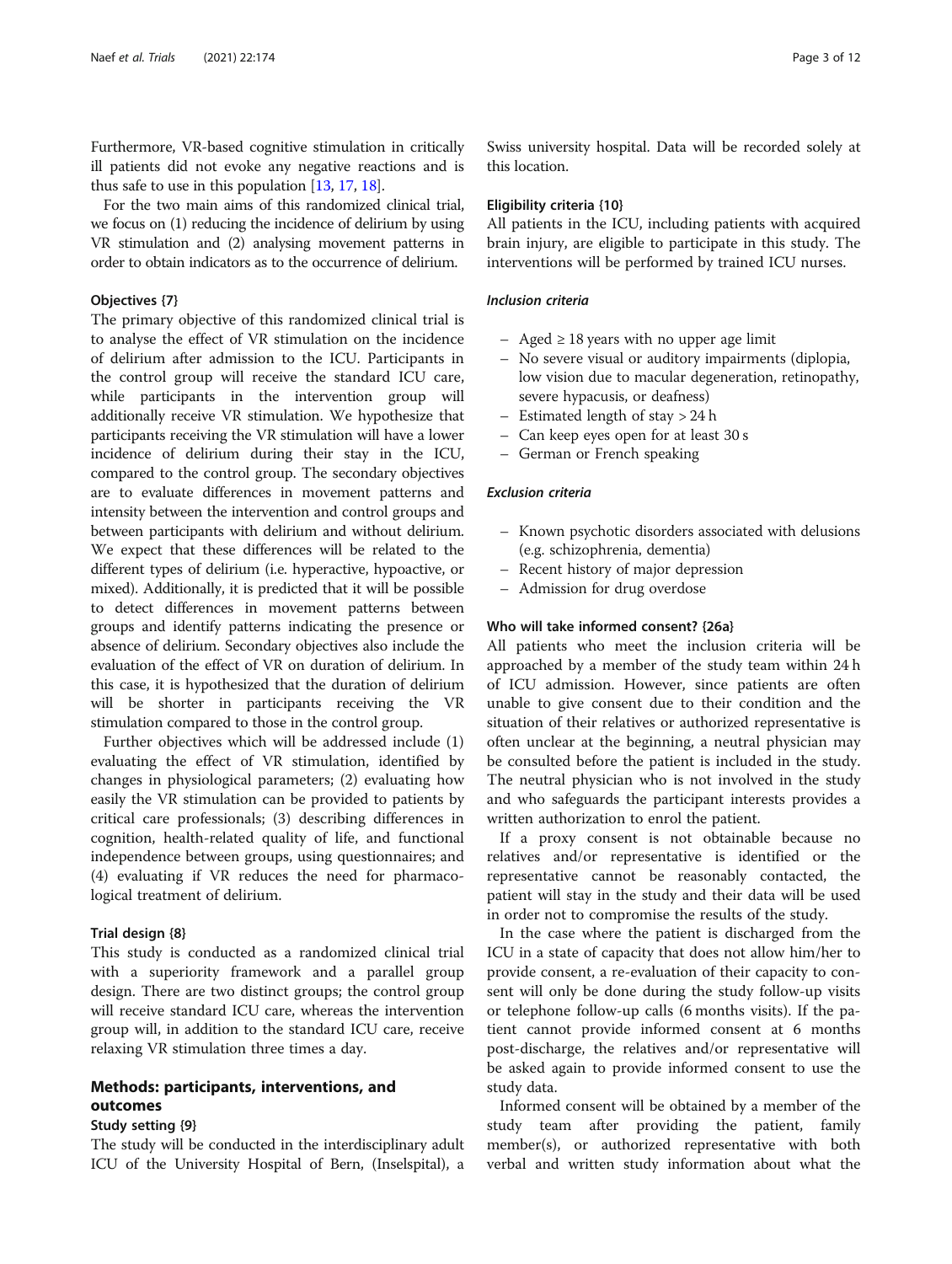Furthermore, VR-based cognitive stimulation in critically ill patients did not evoke any negative reactions and is thus safe to use in this population [\[13,](#page-10-0) [17](#page-10-0), [18\]](#page-10-0).

For the two main aims of this randomized clinical trial, we focus on (1) reducing the incidence of delirium by using VR stimulation and (2) analysing movement patterns in order to obtain indicators as to the occurrence of delirium.

#### Objectives {7}

The primary objective of this randomized clinical trial is to analyse the effect of VR stimulation on the incidence of delirium after admission to the ICU. Participants in the control group will receive the standard ICU care, while participants in the intervention group will additionally receive VR stimulation. We hypothesize that participants receiving the VR stimulation will have a lower incidence of delirium during their stay in the ICU, compared to the control group. The secondary objectives are to evaluate differences in movement patterns and intensity between the intervention and control groups and between participants with delirium and without delirium. We expect that these differences will be related to the different types of delirium (i.e. hyperactive, hypoactive, or mixed). Additionally, it is predicted that it will be possible to detect differences in movement patterns between groups and identify patterns indicating the presence or absence of delirium. Secondary objectives also include the evaluation of the effect of VR on duration of delirium. In this case, it is hypothesized that the duration of delirium will be shorter in participants receiving the stimulation compared to those in the control group.

Further objectives which will be addressed include (1) evaluating the effect of VR stimulation, identified by changes in physiological parameters; (2) evaluating how easily the VR stimulation can be provided to patients by critical care professionals; (3) describing differences in cognition, health-related quality of life, and functional independence between groups, using questionnaires; and (4) evaluating if VR reduces the need for pharmacological treatment of delirium.

#### Trial design {8}

This study is conducted as a randomized clinical trial with a superiority framework and a parallel group design. There are two distinct groups; the control group will receive standard ICU care, whereas the intervention group will, in addition to the standard ICU care, receive relaxing VR stimulation three times a day.

# Methods: participants, interventions, and outcomes

#### Study setting {9}

The study will be conducted in the interdisciplinary adult ICU of the University Hospital of Bern, (Inselspital), a Swiss university hospital. Data will be recorded solely at this location.

#### Eligibility criteria {10}

All patients in the ICU, including patients with acquired brain injury, are eligible to participate in this study. The interventions will be performed by trained ICU nurses.

#### Inclusion criteria

- Aged ≥ 18 years with no upper age limit
- No severe visual or auditory impairments (diplopia, low vision due to macular degeneration, retinopathy, severe hypacusis, or deafness)
- Estimated length of stay > 24 h
- Can keep eyes open for at least 30 s
- German or French speaking

#### Exclusion criteria

- Known psychotic disorders associated with delusions (e.g. schizophrenia, dementia)
- Recent history of major depression
- Admission for drug overdose

# Who will take informed consent? {26a}

All patients who meet the inclusion criteria will be approached by a member of the study team within 24 h of ICU admission. However, since patients are often unable to give consent due to their condition and the situation of their relatives or authorized representative is often unclear at the beginning, a neutral physician may be consulted before the patient is included in the study. The neutral physician who is not involved in the study and who safeguards the participant interests provides a written authorization to enrol the patient.

If a proxy consent is not obtainable because no relatives and/or representative is identified or the representative cannot be reasonably contacted, the patient will stay in the study and their data will be used in order not to compromise the results of the study.

In the case where the patient is discharged from the ICU in a state of capacity that does not allow him/her to provide consent, a re-evaluation of their capacity to consent will only be done during the study follow-up visits or telephone follow-up calls (6 months visits). If the patient cannot provide informed consent at 6 months post-discharge, the relatives and/or representative will be asked again to provide informed consent to use the study data.

Informed consent will be obtained by a member of the study team after providing the patient, family member(s), or authorized representative with both verbal and written study information about what the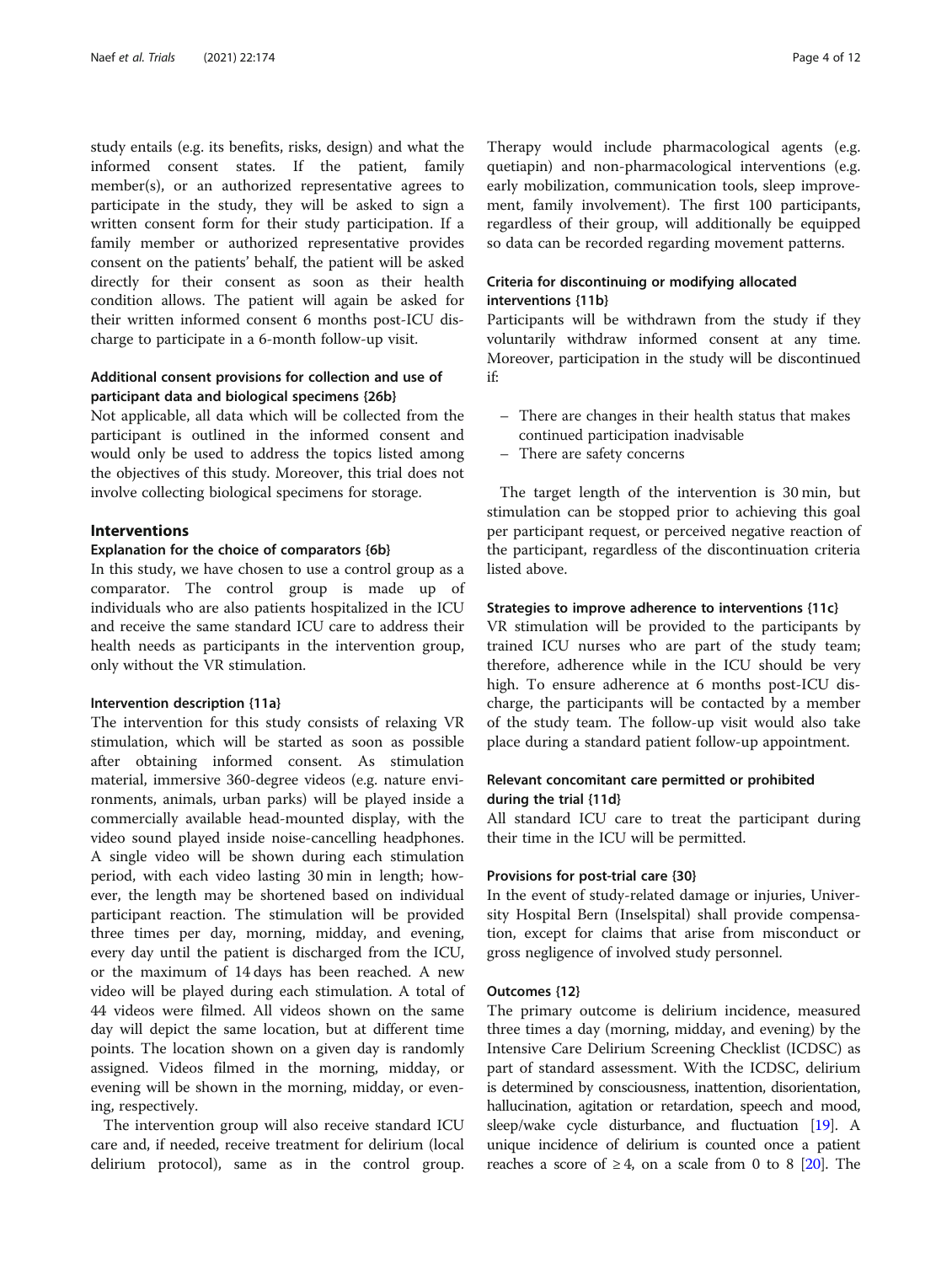study entails (e.g. its benefits, risks, design) and what the informed consent states. If the patient, family member(s), or an authorized representative agrees to participate in the study, they will be asked to sign a written consent form for their study participation. If a family member or authorized representative provides consent on the patients' behalf, the patient will be asked directly for their consent as soon as their health condition allows. The patient will again be asked for their written informed consent 6 months post-ICU discharge to participate in a 6-month follow-up visit.

# Additional consent provisions for collection and use of participant data and biological specimens {26b}

Not applicable, all data which will be collected from the participant is outlined in the informed consent and would only be used to address the topics listed among the objectives of this study. Moreover, this trial does not involve collecting biological specimens for storage.

# Interventions

#### Explanation for the choice of comparators {6b}

In this study, we have chosen to use a control group as a comparator. The control group is made up of individuals who are also patients hospitalized in the ICU and receive the same standard ICU care to address their health needs as participants in the intervention group, only without the VR stimulation.

#### Intervention description {11a}

The intervention for this study consists of relaxing VR stimulation, which will be started as soon as possible after obtaining informed consent. As stimulation material, immersive 360-degree videos (e.g. nature environments, animals, urban parks) will be played inside a commercially available head-mounted display, with the video sound played inside noise-cancelling headphones. A single video will be shown during each stimulation period, with each video lasting 30 min in length; however, the length may be shortened based on individual participant reaction. The stimulation will be provided three times per day, morning, midday, and evening, every day until the patient is discharged from the ICU, or the maximum of 14 days has been reached. A new video will be played during each stimulation. A total of 44 videos were filmed. All videos shown on the same day will depict the same location, but at different time points. The location shown on a given day is randomly assigned. Videos filmed in the morning, midday, or evening will be shown in the morning, midday, or evening, respectively.

The intervention group will also receive standard ICU care and, if needed, receive treatment for delirium (local delirium protocol), same as in the control group. Therapy would include pharmacological agents (e.g. quetiapin) and non-pharmacological interventions (e.g. early mobilization, communication tools, sleep improvement, family involvement). The first 100 participants, regardless of their group, will additionally be equipped so data can be recorded regarding movement patterns.

# Criteria for discontinuing or modifying allocated interventions {11b}

Participants will be withdrawn from the study if they voluntarily withdraw informed consent at any time. Moreover, participation in the study will be discontinued if:

- There are changes in their health status that makes continued participation inadvisable
- There are safety concerns

The target length of the intervention is 30 min, but stimulation can be stopped prior to achieving this goal per participant request, or perceived negative reaction of the participant, regardless of the discontinuation criteria listed above.

#### Strategies to improve adherence to interventions {11c}

VR stimulation will be provided to the participants by trained ICU nurses who are part of the study team; therefore, adherence while in the ICU should be very high. To ensure adherence at 6 months post-ICU discharge, the participants will be contacted by a member of the study team. The follow-up visit would also take place during a standard patient follow-up appointment.

# Relevant concomitant care permitted or prohibited during the trial {11d}

All standard ICU care to treat the participant during their time in the ICU will be permitted.

#### Provisions for post-trial care {30}

In the event of study-related damage or injuries, University Hospital Bern (Inselspital) shall provide compensation, except for claims that arise from misconduct or gross negligence of involved study personnel.

#### Outcomes {12}

The primary outcome is delirium incidence, measured three times a day (morning, midday, and evening) by the Intensive Care Delirium Screening Checklist (ICDSC) as part of standard assessment. With the ICDSC, delirium is determined by consciousness, inattention, disorientation, hallucination, agitation or retardation, speech and mood, sleep/wake cycle disturbance, and fluctuation [\[19](#page-10-0)]. A unique incidence of delirium is counted once a patient reaches a score of  $\geq 4$ , on a scale from 0 to 8 [\[20](#page-10-0)]. The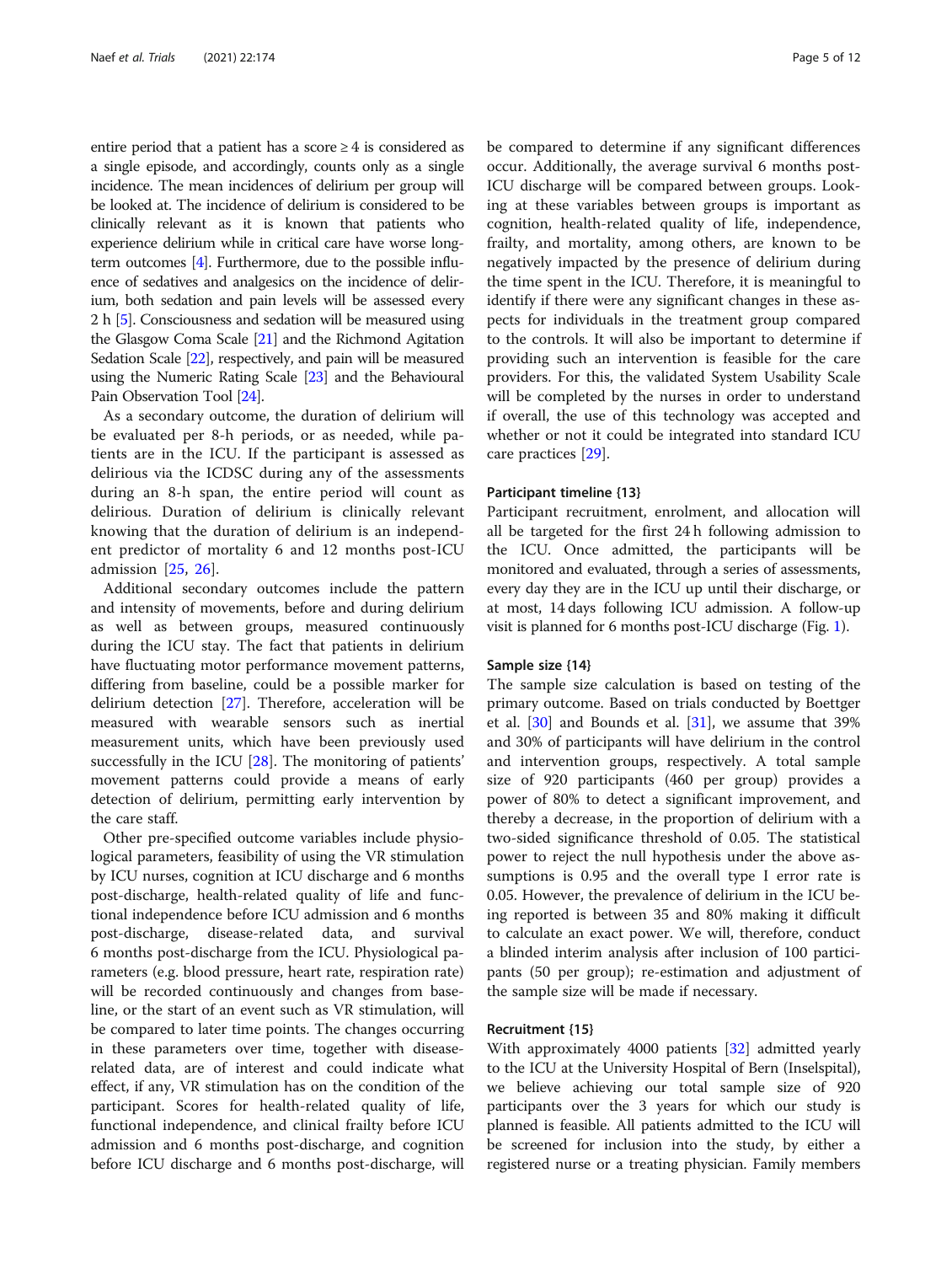entire period that a patient has a score  $\geq 4$  is considered as a single episode, and accordingly, counts only as a single incidence. The mean incidences of delirium per group will be looked at. The incidence of delirium is considered to be clinically relevant as it is known that patients who experience delirium while in critical care have worse longterm outcomes [[4](#page-10-0)]. Furthermore, due to the possible influence of sedatives and analgesics on the incidence of delirium, both sedation and pain levels will be assessed every 2 h [\[5\]](#page-10-0). Consciousness and sedation will be measured using the Glasgow Coma Scale [\[21\]](#page-10-0) and the Richmond Agitation Sedation Scale [\[22\]](#page-10-0), respectively, and pain will be measured using the Numeric Rating Scale [\[23](#page-10-0)] and the Behavioural Pain Observation Tool [\[24](#page-10-0)].

As a secondary outcome, the duration of delirium will be evaluated per 8-h periods, or as needed, while patients are in the ICU. If the participant is assessed as delirious via the ICDSC during any of the assessments during an 8-h span, the entire period will count as delirious. Duration of delirium is clinically relevant knowing that the duration of delirium is an independent predictor of mortality 6 and 12 months post-ICU admission [[25,](#page-10-0) [26\]](#page-10-0).

Additional secondary outcomes include the pattern and intensity of movements, before and during delirium as well as between groups, measured continuously during the ICU stay. The fact that patients in delirium have fluctuating motor performance movement patterns, differing from baseline, could be a possible marker for delirium detection [\[27](#page-10-0)]. Therefore, acceleration will be measured with wearable sensors such as inertial measurement units, which have been previously used successfully in the ICU [\[28](#page-10-0)]. The monitoring of patients' movement patterns could provide a means of early detection of delirium, permitting early intervention by the care staff.

Other pre-specified outcome variables include physiological parameters, feasibility of using the VR stimulation by ICU nurses, cognition at ICU discharge and 6 months post-discharge, health-related quality of life and functional independence before ICU admission and 6 months post-discharge, disease-related data, and survival 6 months post-discharge from the ICU. Physiological parameters (e.g. blood pressure, heart rate, respiration rate) will be recorded continuously and changes from baseline, or the start of an event such as VR stimulation, will be compared to later time points. The changes occurring in these parameters over time, together with diseaserelated data, are of interest and could indicate what effect, if any, VR stimulation has on the condition of the participant. Scores for health-related quality of life, functional independence, and clinical frailty before ICU admission and 6 months post-discharge, and cognition before ICU discharge and 6 months post-discharge, will be compared to determine if any significant differences occur. Additionally, the average survival 6 months post-ICU discharge will be compared between groups. Looking at these variables between groups is important as cognition, health-related quality of life, independence, frailty, and mortality, among others, are known to be negatively impacted by the presence of delirium during the time spent in the ICU. Therefore, it is meaningful to identify if there were any significant changes in these aspects for individuals in the treatment group compared to the controls. It will also be important to determine if providing such an intervention is feasible for the care providers. For this, the validated System Usability Scale will be completed by the nurses in order to understand if overall, the use of this technology was accepted and whether or not it could be integrated into standard ICU care practices [[29](#page-10-0)].

#### Participant timeline {13}

Participant recruitment, enrolment, and allocation will all be targeted for the first 24 h following admission to the ICU. Once admitted, the participants will be monitored and evaluated, through a series of assessments, every day they are in the ICU up until their discharge, or at most, 14 days following ICU admission. A follow-up visit is planned for 6 months post-ICU discharge (Fig. [1](#page-5-0)).

#### Sample size {14}

The sample size calculation is based on testing of the primary outcome. Based on trials conducted by Boettger et al. [[30\]](#page-10-0) and Bounds et al. [[31](#page-10-0)], we assume that 39% and 30% of participants will have delirium in the control and intervention groups, respectively. A total sample size of 920 participants (460 per group) provides a power of 80% to detect a significant improvement, and thereby a decrease, in the proportion of delirium with a two-sided significance threshold of 0.05. The statistical power to reject the null hypothesis under the above assumptions is 0.95 and the overall type I error rate is 0.05. However, the prevalence of delirium in the ICU being reported is between 35 and 80% making it difficult to calculate an exact power. We will, therefore, conduct a blinded interim analysis after inclusion of 100 participants (50 per group); re-estimation and adjustment of the sample size will be made if necessary.

#### Recruitment {15}

With approximately 4000 patients [[32](#page-10-0)] admitted yearly to the ICU at the University Hospital of Bern (Inselspital), we believe achieving our total sample size of 920 participants over the 3 years for which our study is planned is feasible. All patients admitted to the ICU will be screened for inclusion into the study, by either a registered nurse or a treating physician. Family members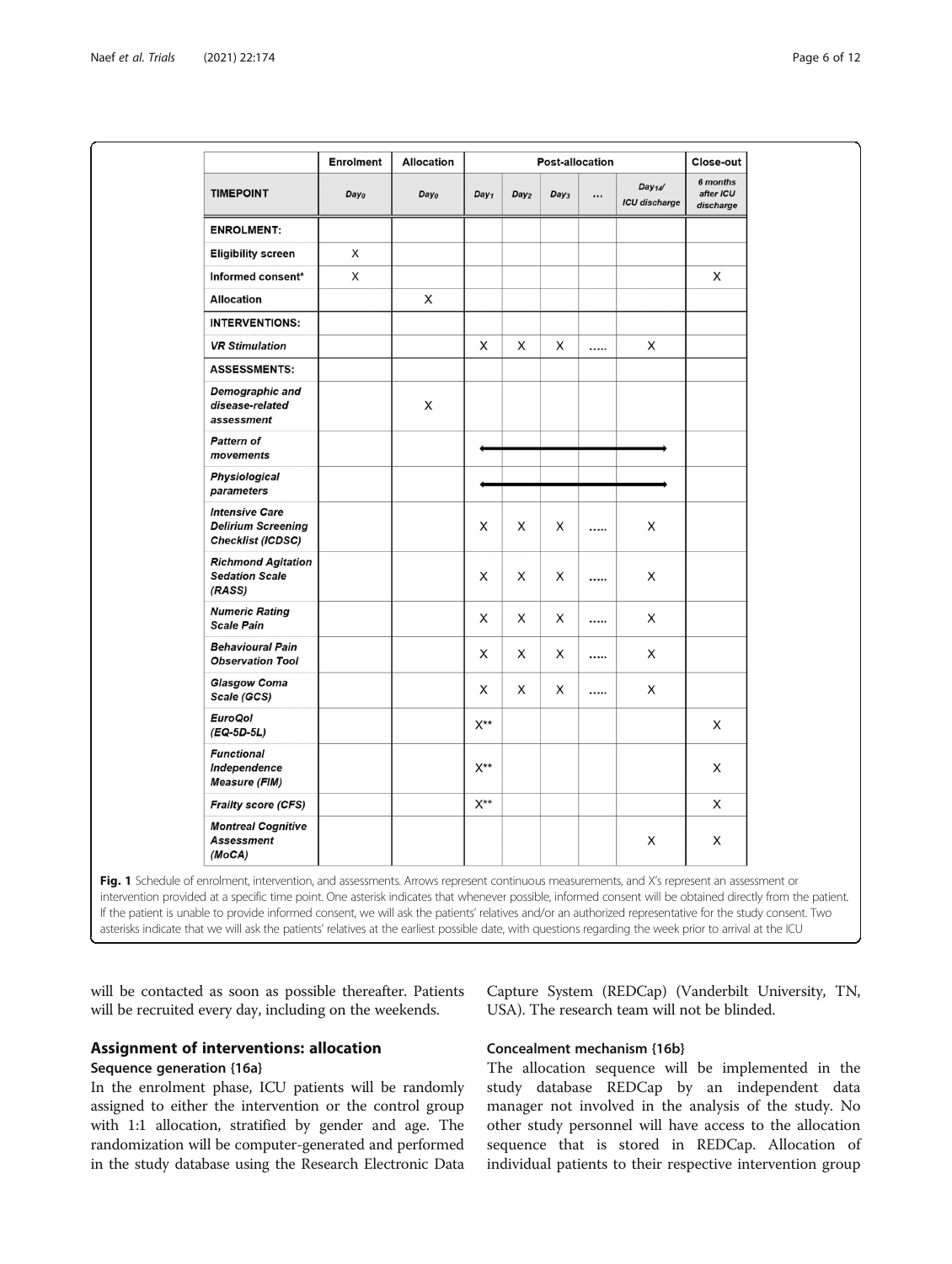<span id="page-5-0"></span>

|                                                                                | <b>Enrolment</b> | <b>Allocation</b> |                  | Close-out        |                  |                                               |                                    |
|--------------------------------------------------------------------------------|------------------|-------------------|------------------|------------------|------------------|-----------------------------------------------|------------------------------------|
| <b>TIMEPOINT</b>                                                               | Day <sub>0</sub> | Day <sub>0</sub>  | Day <sub>1</sub> | Day <sub>2</sub> | Day <sub>3</sub> | <br>Day <sub>14</sub><br><b>ICU</b> discharge | 6 months<br>after ICU<br>discharge |
| <b>ENROLMENT:</b>                                                              |                  |                   |                  |                  |                  |                                               |                                    |
| <b>Eligibility screen</b>                                                      | X                |                   |                  |                  |                  |                                               |                                    |
| Informed consent*                                                              | X                |                   |                  |                  |                  |                                               | X                                  |
| <b>Allocation</b>                                                              |                  | X                 |                  |                  |                  |                                               |                                    |
| <b>INTERVENTIONS:</b>                                                          |                  |                   |                  |                  |                  |                                               |                                    |
| <b>VR Stimulation</b>                                                          |                  |                   | X                | X                | X                | <br>X                                         |                                    |
| <b>ASSESSMENTS:</b>                                                            |                  |                   |                  |                  |                  |                                               |                                    |
| <b>Demographic and</b><br>disease-related<br>assessment                        |                  | X                 |                  |                  |                  |                                               |                                    |
| <b>Pattern of</b><br>movements                                                 |                  |                   |                  |                  |                  |                                               |                                    |
| <b>Physiological</b><br>parameters                                             |                  |                   |                  |                  |                  |                                               |                                    |
| <b>Intensive Care</b><br><b>Delirium Screening</b><br><b>Checklist (ICDSC)</b> |                  |                   | X                | X                | X                | <br>X                                         |                                    |
| <b>Richmond Agitation</b><br><b>Sedation Scale</b><br>(RASS)                   |                  |                   | X                | X                | X                | <br>X                                         |                                    |
| <b>Numeric Rating</b><br><b>Scale Pain</b>                                     |                  |                   | X                | X                | X                | <br>X                                         |                                    |
| <b>Behavioural Pain</b><br><b>Observation Tool</b>                             |                  |                   | X                | X                | X                | <br>X                                         |                                    |
| <b>Glasgow Coma</b><br>Scale (GCS)                                             |                  |                   | X                | X                | X                | <br>X                                         |                                    |
| <b>EuroQol</b><br>$(EQ-5D-5L)$                                                 |                  |                   | $X^{**}$         |                  |                  |                                               | X                                  |
| <b>Functional</b><br>Independence<br><b>Measure (FIM)</b>                      |                  |                   | $X^{**}$         |                  |                  |                                               | X                                  |
| <b>Frailty score (CFS)</b>                                                     |                  |                   | $X^{\star\star}$ |                  |                  |                                               | Χ                                  |
| <b>Montreal Cognitive</b><br><b>Assessment</b><br>(MoCA)                       |                  |                   |                  |                  |                  | Χ                                             | X                                  |

will be contacted as soon as possible thereafter. Patients will be recruited every day, including on the weekends.

# Assignment of interventions: allocation Sequence generation {16a}

In the enrolment phase, ICU patients will be randomly assigned to either the intervention or the control group with 1:1 allocation, stratified by gender and age. The randomization will be computer-generated and performed in the study database using the Research Electronic Data

Capture System (REDCap) (Vanderbilt University, TN, USA). The research team will not be blinded.

# Concealment mechanism {16b}

The allocation sequence will be implemented in the study database REDCap by an independent data manager not involved in the analysis of the study. No other study personnel will have access to the allocation sequence that is stored in REDCap. Allocation of individual patients to their respective intervention group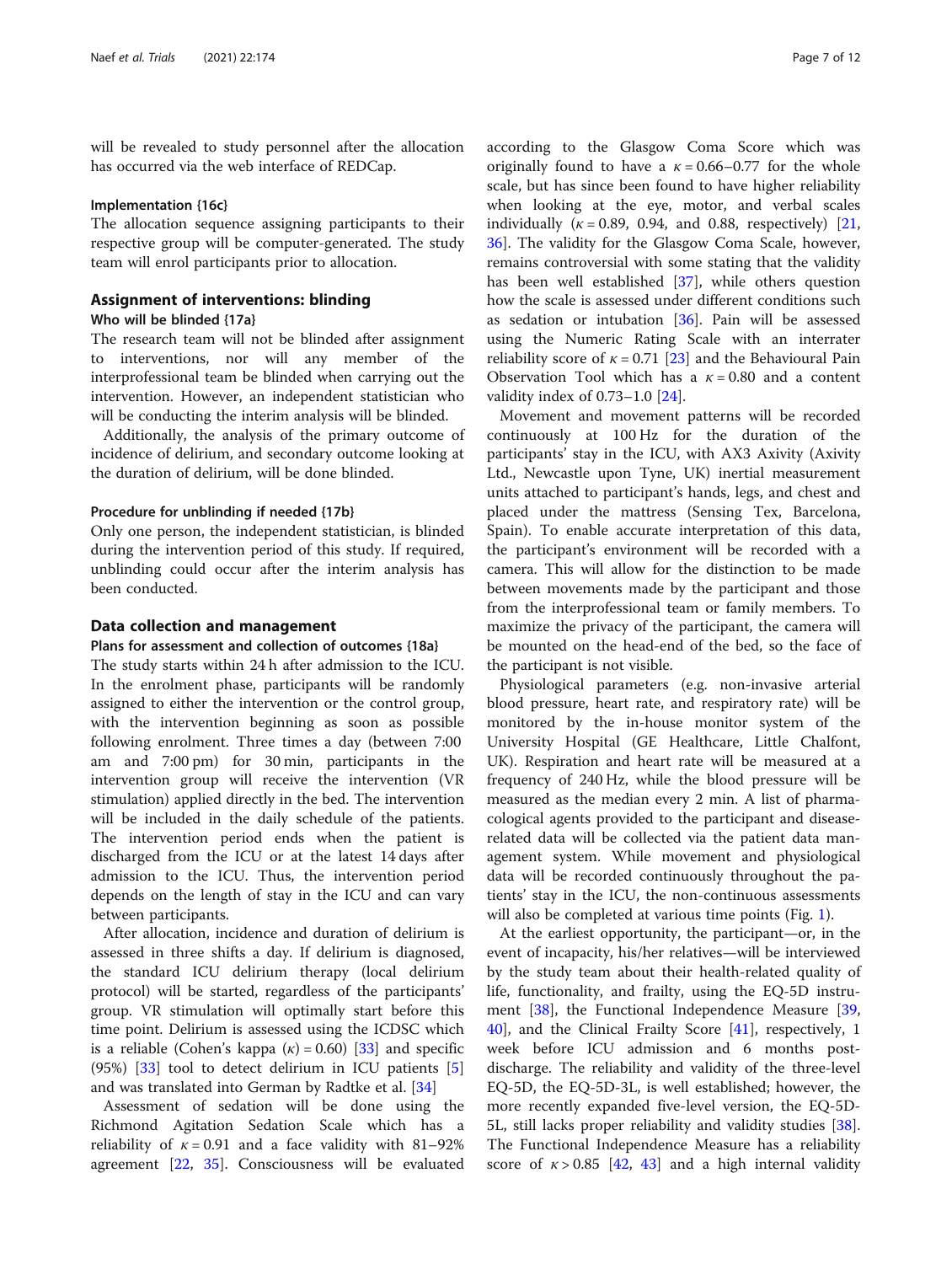will be revealed to study personnel after the allocation has occurred via the web interface of REDCap.

#### Implementation {16c}

The allocation sequence assigning participants to their respective group will be computer-generated. The study team will enrol participants prior to allocation.

# Assignment of interventions: blinding

## Who will be blinded {17a}

The research team will not be blinded after assignment to interventions, nor will any member of the interprofessional team be blinded when carrying out the intervention. However, an independent statistician who will be conducting the interim analysis will be blinded.

Additionally, the analysis of the primary outcome of incidence of delirium, and secondary outcome looking at the duration of delirium, will be done blinded.

#### Procedure for unblinding if needed {17b}

Only one person, the independent statistician, is blinded during the intervention period of this study. If required, unblinding could occur after the interim analysis has been conducted.

#### Data collection and management

#### Plans for assessment and collection of outcomes {18a}

The study starts within 24 h after admission to the ICU. In the enrolment phase, participants will be randomly assigned to either the intervention or the control group, with the intervention beginning as soon as possible following enrolment. Three times a day (between 7:00 am and 7:00 pm) for 30 min, participants in the intervention group will receive the intervention (VR stimulation) applied directly in the bed. The intervention will be included in the daily schedule of the patients. The intervention period ends when the patient is discharged from the ICU or at the latest 14 days after admission to the ICU. Thus, the intervention period depends on the length of stay in the ICU and can vary between participants.

After allocation, incidence and duration of delirium is assessed in three shifts a day. If delirium is diagnosed, the standard ICU delirium therapy (local delirium protocol) will be started, regardless of the participants' group. VR stimulation will optimally start before this time point. Delirium is assessed using the ICDSC which is a reliable (Cohen's kappa  $(k) = 0.60$ ) [[33](#page-10-0)] and specific  $(95%)$   $[33]$  $[33]$  $[33]$  tool to detect delirium in ICU patients  $[5]$  $[5]$ and was translated into German by Radtke et al. [\[34](#page-10-0)]

Assessment of sedation will be done using the Richmond Agitation Sedation Scale which has a reliability of  $\kappa = 0.91$  and a face validity with 81–92% agreement [\[22,](#page-10-0) [35](#page-10-0)]. Consciousness will be evaluated

according to the Glasgow Coma Score which was originally found to have a  $\kappa = 0.66 - 0.77$  for the whole scale, but has since been found to have higher reliability when looking at the eye, motor, and verbal scales individually ( $\kappa = 0.89$ , 0.94, and 0.88, respectively) [[21](#page-10-0), [36\]](#page-10-0). The validity for the Glasgow Coma Scale, however, remains controversial with some stating that the validity has been well established [\[37](#page-10-0)], while others question how the scale is assessed under different conditions such as sedation or intubation [[36](#page-10-0)]. Pain will be assessed using the Numeric Rating Scale with an interrater reliability score of  $\kappa = 0.71$  [\[23\]](#page-10-0) and the Behavioural Pain Observation Tool which has a  $\kappa = 0.80$  and a content validity index of 0.73–1.0 [\[24\]](#page-10-0).

Movement and movement patterns will be recorded continuously at 100 Hz for the duration of the participants' stay in the ICU, with AX3 Axivity (Axivity Ltd., Newcastle upon Tyne, UK) inertial measurement units attached to participant's hands, legs, and chest and placed under the mattress (Sensing Tex, Barcelona, Spain). To enable accurate interpretation of this data, the participant's environment will be recorded with a camera. This will allow for the distinction to be made between movements made by the participant and those from the interprofessional team or family members. To maximize the privacy of the participant, the camera will be mounted on the head-end of the bed, so the face of the participant is not visible.

Physiological parameters (e.g. non-invasive arterial blood pressure, heart rate, and respiratory rate) will be monitored by the in-house monitor system of the University Hospital (GE Healthcare, Little Chalfont, UK). Respiration and heart rate will be measured at a frequency of 240 Hz, while the blood pressure will be measured as the median every 2 min. A list of pharmacological agents provided to the participant and diseaserelated data will be collected via the patient data management system. While movement and physiological data will be recorded continuously throughout the patients' stay in the ICU, the non-continuous assessments will also be completed at various time points (Fig. [1\)](#page-5-0).

At the earliest opportunity, the participant—or, in the event of incapacity, his/her relatives—will be interviewed by the study team about their health-related quality of life, functionality, and frailty, using the EQ-5D instru-ment [\[38](#page-10-0)], the Functional Independence Measure [[39](#page-10-0), [40\]](#page-10-0), and the Clinical Frailty Score [\[41](#page-11-0)], respectively, 1 week before ICU admission and 6 months postdischarge. The reliability and validity of the three-level EQ-5D, the EQ-5D-3L, is well established; however, the more recently expanded five-level version, the EQ-5D-5L, still lacks proper reliability and validity studies [\[38](#page-10-0)]. The Functional Independence Measure has a reliability score of  $\kappa > 0.85$  [[42,](#page-11-0) [43\]](#page-11-0) and a high internal validity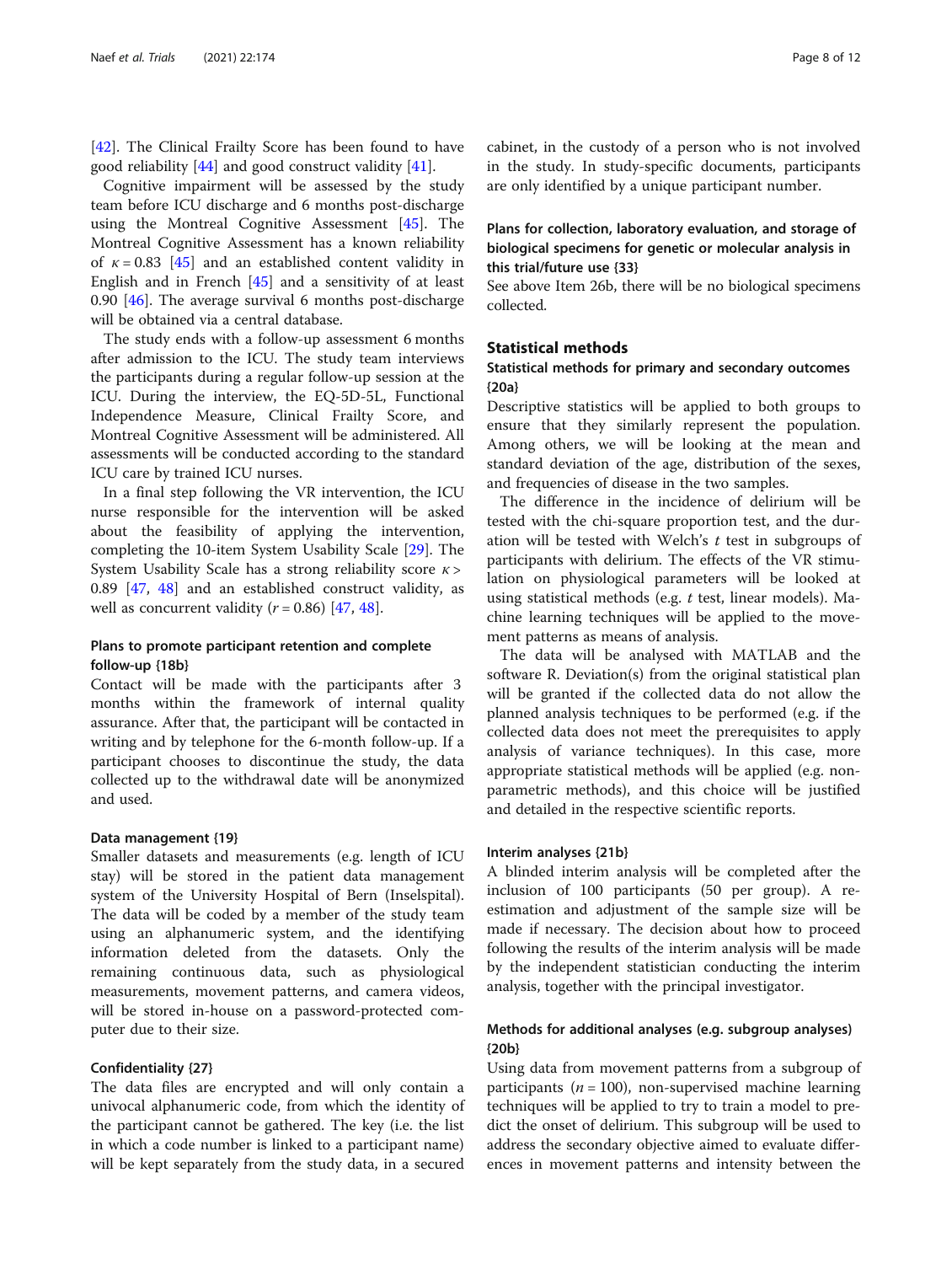[[42\]](#page-11-0). The Clinical Frailty Score has been found to have good reliability [[44\]](#page-11-0) and good construct validity [[41](#page-11-0)].

Cognitive impairment will be assessed by the study team before ICU discharge and 6 months post-discharge using the Montreal Cognitive Assessment [\[45](#page-11-0)]. The Montreal Cognitive Assessment has a known reliability of  $\kappa = 0.83$  [\[45](#page-11-0)] and an established content validity in English and in French [\[45](#page-11-0)] and a sensitivity of at least 0.90 [\[46](#page-11-0)]. The average survival 6 months post-discharge will be obtained via a central database.

The study ends with a follow-up assessment 6 months after admission to the ICU. The study team interviews the participants during a regular follow-up session at the ICU. During the interview, the EQ-5D-5L, Functional Independence Measure, Clinical Frailty Score, and Montreal Cognitive Assessment will be administered. All assessments will be conducted according to the standard ICU care by trained ICU nurses.

In a final step following the VR intervention, the ICU nurse responsible for the intervention will be asked about the feasibility of applying the intervention, completing the 10-item System Usability Scale [[29\]](#page-10-0). The System Usability Scale has a strong reliability score  $\kappa$  > 0.89 [[47,](#page-11-0) [48\]](#page-11-0) and an established construct validity, as well as concurrent validity  $(r = 0.86)$  [[47,](#page-11-0) [48\]](#page-11-0).

# Plans to promote participant retention and complete follow-up {18b}

Contact will be made with the participants after 3 months within the framework of internal quality assurance. After that, the participant will be contacted in writing and by telephone for the 6-month follow-up. If a participant chooses to discontinue the study, the data collected up to the withdrawal date will be anonymized and used.

#### Data management {19}

Smaller datasets and measurements (e.g. length of ICU stay) will be stored in the patient data management system of the University Hospital of Bern (Inselspital). The data will be coded by a member of the study team using an alphanumeric system, and the identifying information deleted from the datasets. Only the remaining continuous data, such as physiological measurements, movement patterns, and camera videos, will be stored in-house on a password-protected computer due to their size.

#### Confidentiality {27}

The data files are encrypted and will only contain a univocal alphanumeric code, from which the identity of the participant cannot be gathered. The key (i.e. the list in which a code number is linked to a participant name) will be kept separately from the study data, in a secured

cabinet, in the custody of a person who is not involved in the study. In study-specific documents, participants are only identified by a unique participant number.

# Plans for collection, laboratory evaluation, and storage of biological specimens for genetic or molecular analysis in this trial/future use {33}

See above Item 26b, there will be no biological specimens collected.

#### Statistical methods

# Statistical methods for primary and secondary outcomes {20a}

Descriptive statistics will be applied to both groups to ensure that they similarly represent the population. Among others, we will be looking at the mean and standard deviation of the age, distribution of the sexes, and frequencies of disease in the two samples.

The difference in the incidence of delirium will be tested with the chi-square proportion test, and the duration will be tested with Welch's  $t$  test in subgroups of participants with delirium. The effects of the VR stimulation on physiological parameters will be looked at using statistical methods (e.g. t test, linear models). Machine learning techniques will be applied to the movement patterns as means of analysis.

The data will be analysed with MATLAB and the software R. Deviation(s) from the original statistical plan will be granted if the collected data do not allow the planned analysis techniques to be performed (e.g. if the collected data does not meet the prerequisites to apply analysis of variance techniques). In this case, more appropriate statistical methods will be applied (e.g. nonparametric methods), and this choice will be justified and detailed in the respective scientific reports.

#### Interim analyses {21b}

A blinded interim analysis will be completed after the inclusion of 100 participants (50 per group). A reestimation and adjustment of the sample size will be made if necessary. The decision about how to proceed following the results of the interim analysis will be made by the independent statistician conducting the interim analysis, together with the principal investigator.

# Methods for additional analyses (e.g. subgroup analyses) {20b}

Using data from movement patterns from a subgroup of participants ( $n = 100$ ), non-supervised machine learning techniques will be applied to try to train a model to predict the onset of delirium. This subgroup will be used to address the secondary objective aimed to evaluate differences in movement patterns and intensity between the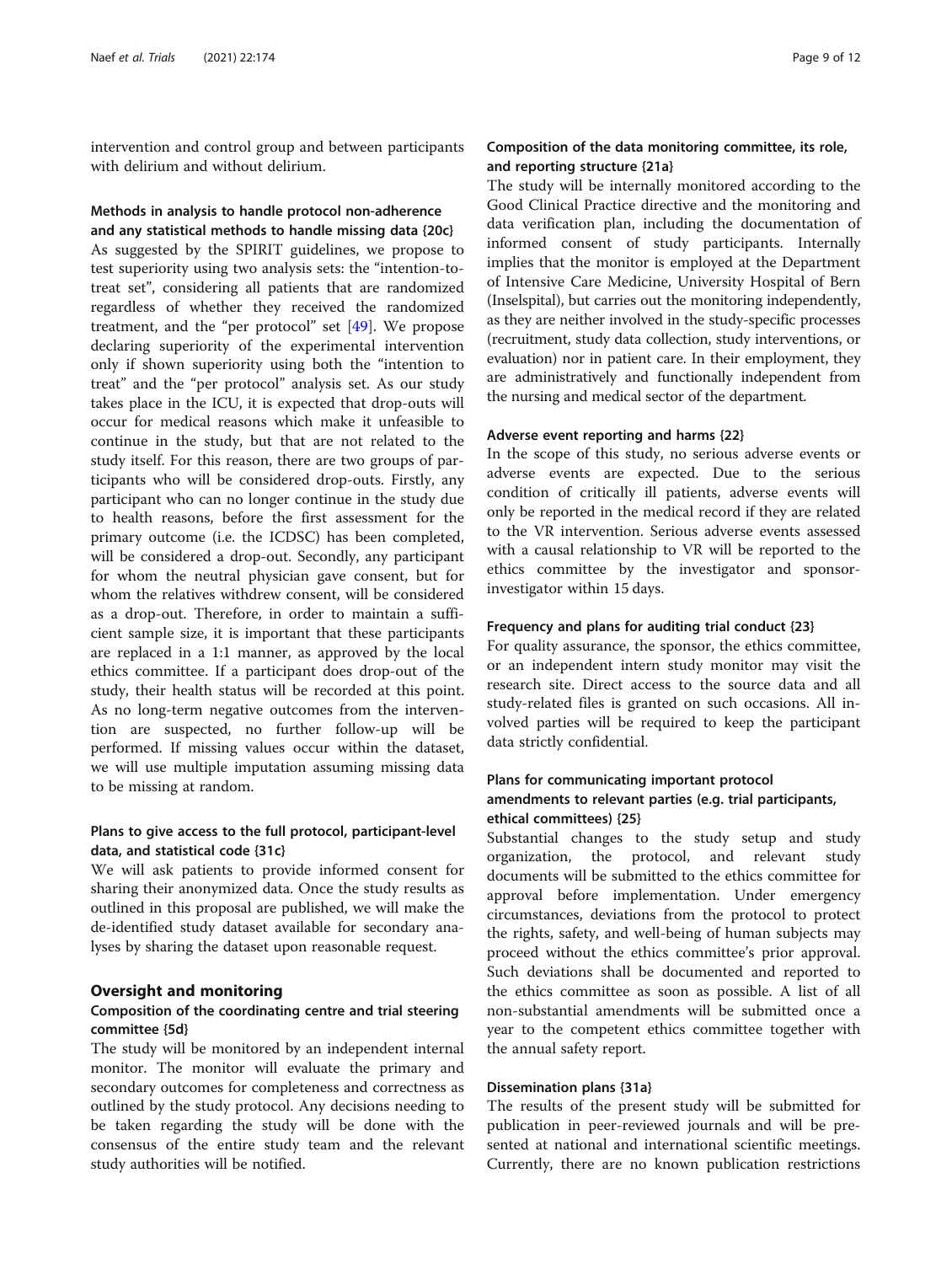intervention and control group and between participants with delirium and without delirium.

#### Methods in analysis to handle protocol non-adherence and any statistical methods to handle missing data {20c}

As suggested by the SPIRIT guidelines, we propose to test superiority using two analysis sets: the "intention-totreat set", considering all patients that are randomized regardless of whether they received the randomized treatment, and the "per protocol" set [\[49](#page-11-0)]. We propose declaring superiority of the experimental intervention only if shown superiority using both the "intention to treat" and the "per protocol" analysis set. As our study takes place in the ICU, it is expected that drop-outs will occur for medical reasons which make it unfeasible to continue in the study, but that are not related to the study itself. For this reason, there are two groups of participants who will be considered drop-outs. Firstly, any participant who can no longer continue in the study due to health reasons, before the first assessment for the primary outcome (i.e. the ICDSC) has been completed, will be considered a drop-out. Secondly, any participant for whom the neutral physician gave consent, but for whom the relatives withdrew consent, will be considered as a drop-out. Therefore, in order to maintain a sufficient sample size, it is important that these participants are replaced in a 1:1 manner, as approved by the local ethics committee. If a participant does drop-out of the study, their health status will be recorded at this point. As no long-term negative outcomes from the intervention are suspected, no further follow-up will be performed. If missing values occur within the dataset, we will use multiple imputation assuming missing data to be missing at random.

# Plans to give access to the full protocol, participant-level data, and statistical code {31c}

We will ask patients to provide informed consent for sharing their anonymized data. Once the study results as outlined in this proposal are published, we will make the de-identified study dataset available for secondary analyses by sharing the dataset upon reasonable request.

#### Oversight and monitoring

# Composition of the coordinating centre and trial steering committee {5d}

The study will be monitored by an independent internal monitor. The monitor will evaluate the primary and secondary outcomes for completeness and correctness as outlined by the study protocol. Any decisions needing to be taken regarding the study will be done with the consensus of the entire study team and the relevant study authorities will be notified.

# Composition of the data monitoring committee, its role, and reporting structure {21a}

The study will be internally monitored according to the Good Clinical Practice directive and the monitoring and data verification plan, including the documentation of informed consent of study participants. Internally implies that the monitor is employed at the Department of Intensive Care Medicine, University Hospital of Bern (Inselspital), but carries out the monitoring independently, as they are neither involved in the study-specific processes (recruitment, study data collection, study interventions, or evaluation) nor in patient care. In their employment, they are administratively and functionally independent from the nursing and medical sector of the department.

# Adverse event reporting and harms {22}

In the scope of this study, no serious adverse events or adverse events are expected. Due to the serious condition of critically ill patients, adverse events will only be reported in the medical record if they are related to the VR intervention. Serious adverse events assessed with a causal relationship to VR will be reported to the ethics committee by the investigator and sponsorinvestigator within 15 days.

#### Frequency and plans for auditing trial conduct {23}

For quality assurance, the sponsor, the ethics committee, or an independent intern study monitor may visit the research site. Direct access to the source data and all study-related files is granted on such occasions. All involved parties will be required to keep the participant data strictly confidential.

# Plans for communicating important protocol amendments to relevant parties (e.g. trial participants, ethical committees) {25}

Substantial changes to the study setup and study organization, the protocol, and relevant study documents will be submitted to the ethics committee for approval before implementation. Under emergency circumstances, deviations from the protocol to protect the rights, safety, and well-being of human subjects may proceed without the ethics committee's prior approval. Such deviations shall be documented and reported to the ethics committee as soon as possible. A list of all non-substantial amendments will be submitted once a year to the competent ethics committee together with the annual safety report.

# Dissemination plans {31a}

The results of the present study will be submitted for publication in peer-reviewed journals and will be presented at national and international scientific meetings. Currently, there are no known publication restrictions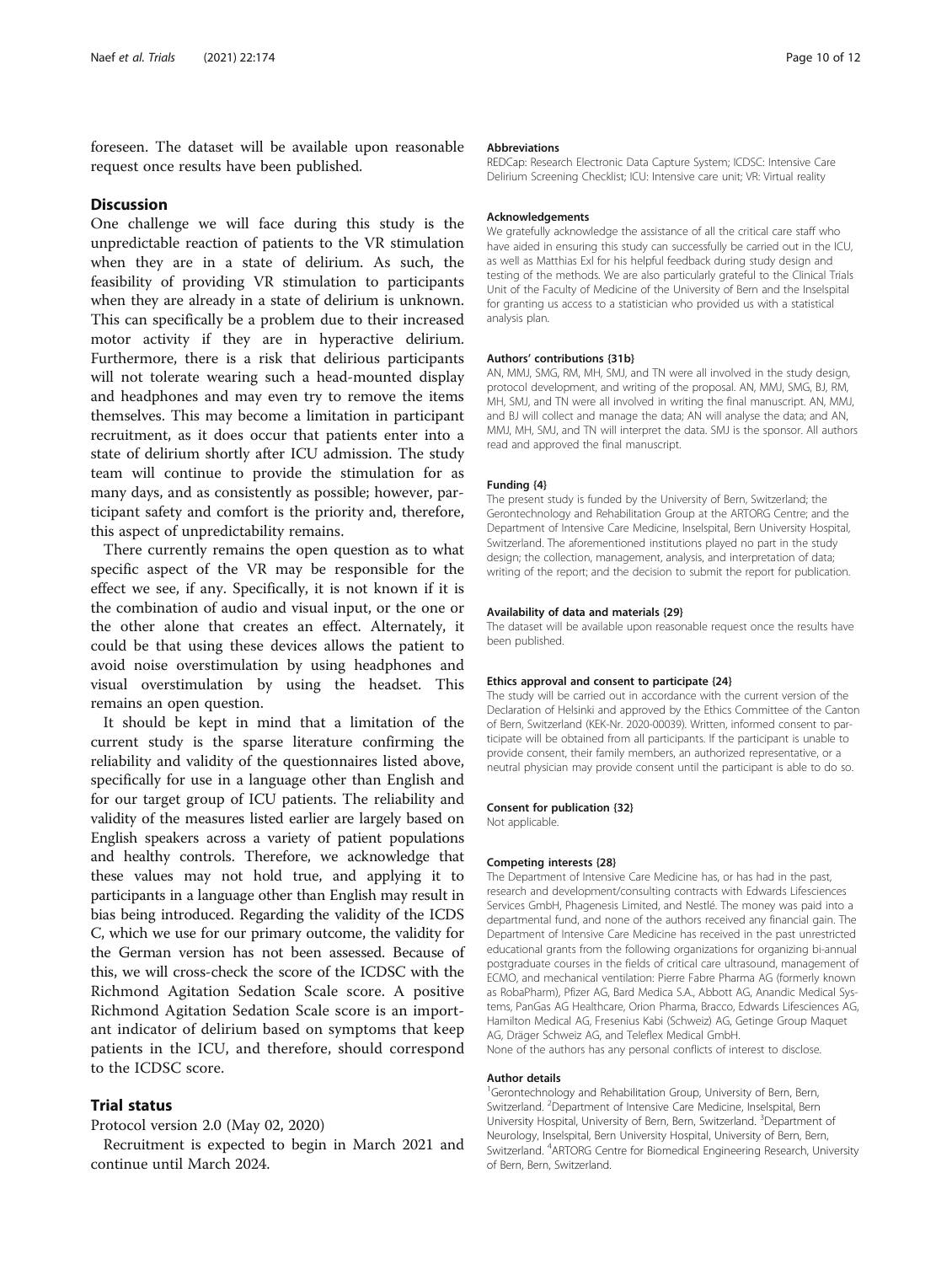foreseen. The dataset will be available upon reasonable request once results have been published.

#### **Discussion**

One challenge we will face during this study is the unpredictable reaction of patients to the VR stimulation when they are in a state of delirium. As such, the feasibility of providing VR stimulation to participants when they are already in a state of delirium is unknown. This can specifically be a problem due to their increased motor activity if they are in hyperactive delirium. Furthermore, there is a risk that delirious participants will not tolerate wearing such a head-mounted display and headphones and may even try to remove the items themselves. This may become a limitation in participant recruitment, as it does occur that patients enter into a state of delirium shortly after ICU admission. The study team will continue to provide the stimulation for as many days, and as consistently as possible; however, participant safety and comfort is the priority and, therefore, this aspect of unpredictability remains.

There currently remains the open question as to what specific aspect of the VR may be responsible for the effect we see, if any. Specifically, it is not known if it is the combination of audio and visual input, or the one or the other alone that creates an effect. Alternately, it could be that using these devices allows the patient to avoid noise overstimulation by using headphones and visual overstimulation by using the headset. This remains an open question.

It should be kept in mind that a limitation of the current study is the sparse literature confirming the reliability and validity of the questionnaires listed above, specifically for use in a language other than English and for our target group of ICU patients. The reliability and validity of the measures listed earlier are largely based on English speakers across a variety of patient populations and healthy controls. Therefore, we acknowledge that these values may not hold true, and applying it to participants in a language other than English may result in bias being introduced. Regarding the validity of the ICDS C, which we use for our primary outcome, the validity for the German version has not been assessed. Because of this, we will cross-check the score of the ICDSC with the Richmond Agitation Sedation Scale score. A positive Richmond Agitation Sedation Scale score is an important indicator of delirium based on symptoms that keep patients in the ICU, and therefore, should correspond to the ICDSC score.

# Trial status

Protocol version 2.0 (May 02, 2020)

Recruitment is expected to begin in March 2021 and continue until March 2024.

#### Abbreviations

REDCap: Research Electronic Data Capture System; ICDSC: Intensive Care Delirium Screening Checklist; ICU: Intensive care unit; VR: Virtual reality

#### Acknowledgements

We gratefully acknowledge the assistance of all the critical care staff who have aided in ensuring this study can successfully be carried out in the ICU, as well as Matthias Exl for his helpful feedback during study design and testing of the methods. We are also particularly grateful to the Clinical Trials Unit of the Faculty of Medicine of the University of Bern and the Inselspital for granting us access to a statistician who provided us with a statistical analysis plan.

#### Authors' contributions {31b}

AN, MMJ, SMG, RM, MH, SMJ, and TN were all involved in the study design, protocol development, and writing of the proposal. AN, MMJ, SMG, BJ, RM, MH, SMJ, and TN were all involved in writing the final manuscript. AN, MMJ, and BJ will collect and manage the data; AN will analyse the data; and AN, MMJ, MH, SMJ, and TN will interpret the data. SMJ is the sponsor. All authors read and approved the final manuscript.

#### Funding {4}

The present study is funded by the University of Bern, Switzerland; the Gerontechnology and Rehabilitation Group at the ARTORG Centre; and the Department of Intensive Care Medicine, Inselspital, Bern University Hospital, Switzerland. The aforementioned institutions played no part in the study design; the collection, management, analysis, and interpretation of data; writing of the report; and the decision to submit the report for publication.

#### Availability of data and materials {29}

The dataset will be available upon reasonable request once the results have been published.

#### Ethics approval and consent to participate {24}

The study will be carried out in accordance with the current version of the Declaration of Helsinki and approved by the Ethics Committee of the Canton of Bern, Switzerland (KEK-Nr. 2020-00039). Written, informed consent to participate will be obtained from all participants. If the participant is unable to provide consent, their family members, an authorized representative, or a neutral physician may provide consent until the participant is able to do so.

#### Consent for publication {32}

Not applicable.

#### Competing interests {28}

The Department of Intensive Care Medicine has, or has had in the past, research and development/consulting contracts with Edwards Lifesciences Services GmbH, Phagenesis Limited, and Nestlé. The money was paid into a departmental fund, and none of the authors received any financial gain. The Department of Intensive Care Medicine has received in the past unrestricted educational grants from the following organizations for organizing bi-annual postgraduate courses in the fields of critical care ultrasound, management of ECMO, and mechanical ventilation: Pierre Fabre Pharma AG (formerly known as RobaPharm), Pfizer AG, Bard Medica S.A., Abbott AG, Anandic Medical Systems, PanGas AG Healthcare, Orion Pharma, Bracco, Edwards Lifesciences AG, Hamilton Medical AG, Fresenius Kabi (Schweiz) AG, Getinge Group Maquet AG, Dräger Schweiz AG, and Teleflex Medical GmbH.

None of the authors has any personal conflicts of interest to disclose.

#### Author details

<sup>1</sup>Gerontechnology and Rehabilitation Group, University of Bern, Bern, Switzerland. <sup>2</sup>Department of Intensive Care Medicine, Inselspital, Bern University Hospital, University of Bern, Bern, Switzerland. <sup>3</sup>Department of Neurology, Inselspital, Bern University Hospital, University of Bern, Bern, Switzerland. <sup>4</sup>ARTORG Centre for Biomedical Engineering Research, University of Bern, Bern, Switzerland.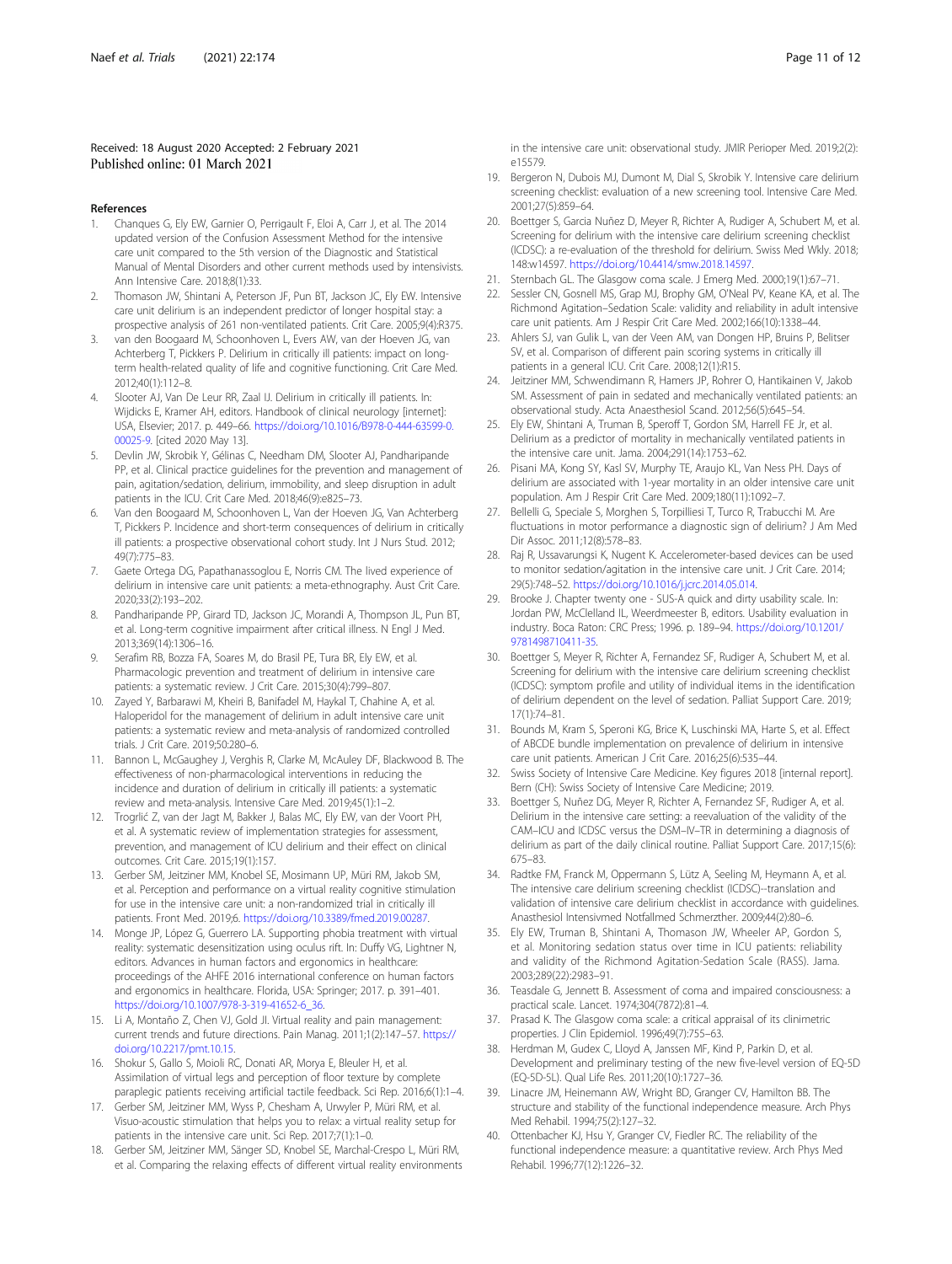#### <span id="page-10-0"></span>Received: 18 August 2020 Accepted: 2 February 2021 Published online: 01 March 2021

#### References

- 1. Chanques G, Ely EW, Garnier O, Perrigault F, Eloi A, Carr J, et al. The 2014 updated version of the Confusion Assessment Method for the intensive care unit compared to the 5th version of the Diagnostic and Statistical Manual of Mental Disorders and other current methods used by intensivists. Ann Intensive Care. 2018;8(1):33.
- 2. Thomason JW, Shintani A, Peterson JF, Pun BT, Jackson JC, Ely EW. Intensive care unit delirium is an independent predictor of longer hospital stay: a prospective analysis of 261 non-ventilated patients. Crit Care. 2005;9(4):R375.
- 3. van den Boogaard M, Schoonhoven L, Evers AW, van der Hoeven JG, van Achterberg T, Pickkers P. Delirium in critically ill patients: impact on longterm health-related quality of life and cognitive functioning. Crit Care Med. 2012;40(1):112–8.
- Slooter AJ, Van De Leur RR, Zaal IJ. Delirium in critically ill patients. In: Wijdicks E, Kramer AH, editors. Handbook of clinical neurology [internet]: USA, Elsevier; 2017. p. 449–66. [https://doi.org/10.1016/B978-0-444-63599-0.](https://doi.org/10.1016/B978-0-444-63599-0.00025-9) [00025-9](https://doi.org/10.1016/B978-0-444-63599-0.00025-9). [cited 2020 May 13].
- Devlin JW, Skrobik Y, Gélinas C, Needham DM, Slooter AJ, Pandharipande PP, et al. Clinical practice guidelines for the prevention and management of pain, agitation/sedation, delirium, immobility, and sleep disruption in adult patients in the ICU. Crit Care Med. 2018;46(9):e825–73.
- Van den Boogaard M, Schoonhoven L, Van der Hoeven JG, Van Achterberg T, Pickkers P. Incidence and short-term consequences of delirium in critically ill patients: a prospective observational cohort study. Int J Nurs Stud. 2012; 49(7):775–83.
- 7. Gaete Ortega DG, Papathanassoglou E, Norris CM. The lived experience of delirium in intensive care unit patients: a meta-ethnography. Aust Crit Care. 2020;33(2):193–202.
- 8. Pandharipande PP, Girard TD, Jackson JC, Morandi A, Thompson JL, Pun BT, et al. Long-term cognitive impairment after critical illness. N Engl J Med. 2013;369(14):1306–16.
- 9. Serafim RB, Bozza FA, Soares M, do Brasil PE, Tura BR, Ely EW, et al. Pharmacologic prevention and treatment of delirium in intensive care patients: a systematic review. J Crit Care. 2015;30(4):799–807.
- 10. Zayed Y, Barbarawi M, Kheiri B, Banifadel M, Haykal T, Chahine A, et al. Haloperidol for the management of delirium in adult intensive care unit patients: a systematic review and meta-analysis of randomized controlled trials. J Crit Care. 2019;50:280–6.
- 11. Bannon L, McGaughey J, Verghis R, Clarke M, McAuley DF, Blackwood B. The effectiveness of non-pharmacological interventions in reducing the incidence and duration of delirium in critically ill patients: a systematic review and meta-analysis. Intensive Care Med. 2019;45(1):1–2.
- 12. Trogrlić Z, van der Jagt M, Bakker J, Balas MC, Ely EW, van der Voort PH, et al. A systematic review of implementation strategies for assessment, prevention, and management of ICU delirium and their effect on clinical outcomes. Crit Care. 2015;19(1):157.
- 13. Gerber SM, Jeitziner MM, Knobel SE, Mosimann UP, Müri RM, Jakob SM, et al. Perception and performance on a virtual reality cognitive stimulation for use in the intensive care unit: a non-randomized trial in critically ill patients. Front Med. 2019;6. [https://doi.org/10.3389/fmed.2019.00287.](https://doi.org/10.3389/fmed.2019.00287)
- 14. Monge JP, López G, Guerrero LA. Supporting phobia treatment with virtual reality: systematic desensitization using oculus rift. In: Duffy VG, Lightner N, editors. Advances in human factors and ergonomics in healthcare: proceedings of the AHFE 2016 international conference on human factors and ergonomics in healthcare. Florida, USA: Springer; 2017. p. 391–401. [https://doi.org/10.1007/978-3-319-41652-6\\_36.](https://doi.org/10.1007/978-3-319-41652-6_36)
- 15. Li A, Montaño Z, Chen VJ, Gold JI. Virtual reality and pain management: current trends and future directions. Pain Manag. 2011;1(2):147–57. [https://](https://doi.org/10.2217/pmt.10.15) [doi.org/10.2217/pmt.10.15](https://doi.org/10.2217/pmt.10.15).
- 16. Shokur S, Gallo S, Moioli RC, Donati AR, Morya E, Bleuler H, et al. Assimilation of virtual legs and perception of floor texture by complete paraplegic patients receiving artificial tactile feedback. Sci Rep. 2016;6(1):1–4.
- 17. Gerber SM, Jeitziner MM, Wyss P, Chesham A, Urwyler P, Müri RM, et al. Visuo-acoustic stimulation that helps you to relax: a virtual reality setup for patients in the intensive care unit. Sci Rep. 2017;7(1):1–0.
- 18. Gerber SM, Jeitziner MM, Sänger SD, Knobel SE, Marchal-Crespo L, Müri RM, et al. Comparing the relaxing effects of different virtual reality environments

in the intensive care unit: observational study. JMIR Perioper Med. 2019;2(2): e15579.

- 19. Bergeron N, Dubois MJ, Dumont M, Dial S, Skrobik Y. Intensive care delirium screening checklist: evaluation of a new screening tool. Intensive Care Med. 2001;27(5):859–64.
- 20. Boettger S, Garcia Nuñez D, Meyer R, Richter A, Rudiger A, Schubert M, et al. Screening for delirium with the intensive care delirium screening checklist (ICDSC): a re-evaluation of the threshold for delirium. Swiss Med Wkly. 2018; 148:w14597. <https://doi.org/10.4414/smw.2018.14597>.
- 21. Sternbach GL. The Glasgow coma scale. J Emerg Med. 2000;19(1):67–71.
- Sessler CN, Gosnell MS, Grap MJ, Brophy GM, O'Neal PV, Keane KA, et al. The Richmond Agitation–Sedation Scale: validity and reliability in adult intensive care unit patients. Am J Respir Crit Care Med. 2002;166(10):1338–44.
- 23. Ahlers SJ, van Gulik L, van der Veen AM, van Dongen HP, Bruins P, Belitser SV, et al. Comparison of different pain scoring systems in critically ill patients in a general ICU. Crit Care. 2008;12(1):R15.
- 24. Jeitziner MM, Schwendimann R, Hamers JP, Rohrer O, Hantikainen V, Jakob SM. Assessment of pain in sedated and mechanically ventilated patients: an observational study. Acta Anaesthesiol Scand. 2012;56(5):645–54.
- 25. Ely EW, Shintani A, Truman B, Speroff T, Gordon SM, Harrell FE Jr, et al. Delirium as a predictor of mortality in mechanically ventilated patients in the intensive care unit. Jama. 2004;291(14):1753–62.
- 26. Pisani MA, Kong SY, Kasl SV, Murphy TE, Araujo KL, Van Ness PH. Days of delirium are associated with 1-year mortality in an older intensive care unit population. Am J Respir Crit Care Med. 2009;180(11):1092–7.
- 27. Bellelli G, Speciale S, Morghen S, Torpilliesi T, Turco R, Trabucchi M. Are fluctuations in motor performance a diagnostic sign of delirium? J Am Med Dir Assoc. 2011;12(8):578–83.
- Raj R, Ussavarungsi K, Nugent K. Accelerometer-based devices can be used to monitor sedation/agitation in the intensive care unit. J Crit Care. 2014; 29(5):748–52. [https://doi.org/10.1016/j.jcrc.2014.05.014.](https://doi.org/10.1016/j.jcrc.2014.05.014)
- 29. Brooke J. Chapter twenty one SUS-A quick and dirty usability scale. In: Jordan PW, McClelland IL, Weerdmeester B, editors. Usability evaluation in industry. Boca Raton: CRC Press; 1996. p. 189–94. [https://doi.org/10.1201/](https://doi.org/10.1201/9781498710411-35) [9781498710411-35.](https://doi.org/10.1201/9781498710411-35)
- 30. Boettger S, Meyer R, Richter A, Fernandez SF, Rudiger A, Schubert M, et al. Screening for delirium with the intensive care delirium screening checklist (ICDSC): symptom profile and utility of individual items in the identification of delirium dependent on the level of sedation. Palliat Support Care. 2019; 17(1):74–81.
- 31. Bounds M, Kram S, Speroni KG, Brice K, Luschinski MA, Harte S, et al. Effect of ABCDE bundle implementation on prevalence of delirium in intensive care unit patients. American J Crit Care. 2016;25(6):535–44.
- 32. Swiss Society of Intensive Care Medicine. Key figures 2018 [internal report]. Bern (CH): Swiss Society of Intensive Care Medicine; 2019.
- 33. Boettger S, Nuñez DG, Meyer R, Richter A, Fernandez SF, Rudiger A, et al. Delirium in the intensive care setting: a reevaluation of the validity of the CAM–ICU and ICDSC versus the DSM–IV–TR in determining a diagnosis of delirium as part of the daily clinical routine. Palliat Support Care. 2017;15(6): 675–83.
- 34. Radtke FM, Franck M, Oppermann S, Lütz A, Seeling M, Heymann A, et al. The intensive care delirium screening checklist (ICDSC)--translation and validation of intensive care delirium checklist in accordance with guidelines. Anasthesiol Intensivmed Notfallmed Schmerzther. 2009;44(2):80–6.
- 35. Ely EW, Truman B, Shintani A, Thomason JW, Wheeler AP, Gordon S, et al. Monitoring sedation status over time in ICU patients: reliability and validity of the Richmond Agitation-Sedation Scale (RASS). Jama. 2003;289(22):2983–91.
- 36. Teasdale G, Jennett B. Assessment of coma and impaired consciousness: a practical scale. Lancet. 1974;304(7872):81–4.
- Prasad K. The Glasgow coma scale: a critical appraisal of its clinimetric properties. J Clin Epidemiol. 1996;49(7):755–63.
- 38. Herdman M, Gudex C, Lloyd A, Janssen MF, Kind P, Parkin D, et al. Development and preliminary testing of the new five-level version of EQ-5D (EQ-5D-5L). Qual Life Res. 2011;20(10):1727–36.
- 39. Linacre JM, Heinemann AW, Wright BD, Granger CV, Hamilton BB. The structure and stability of the functional independence measure. Arch Phys Med Rehabil. 1994;75(2):127–32.
- 40. Ottenbacher KJ, Hsu Y, Granger CV, Fiedler RC. The reliability of the functional independence measure: a quantitative review. Arch Phys Med Rehabil. 1996;77(12):1226–32.